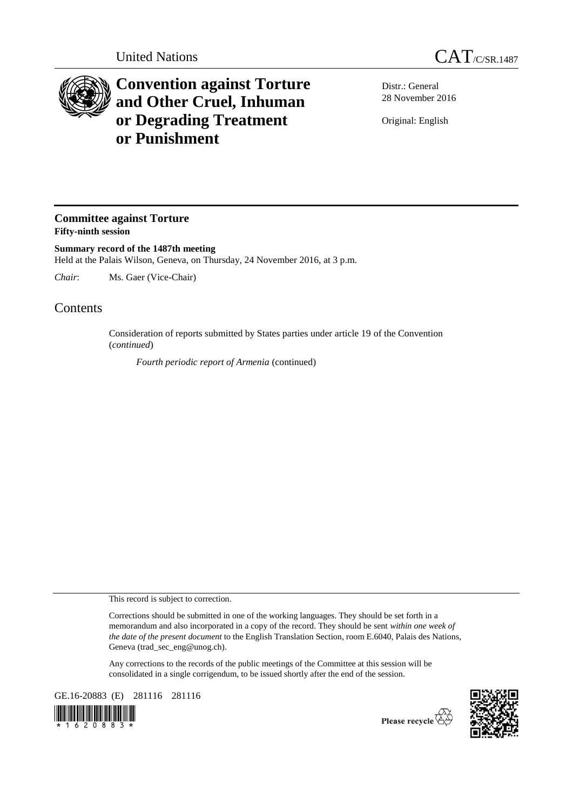

## **Convention against Torture and Other Cruel, Inhuman or Degrading Treatment or Punishment**

Distr.: General 28 November 2016

Original: English

## **Committee against Torture Fifty-ninth session**

**Summary record of the 1487th meeting** Held at the Palais Wilson, Geneva, on Thursday, 24 November 2016, at 3 p.m.

*Chair*: Ms. Gaer (Vice-Chair)

## Contents

Consideration of reports submitted by States parties under article 19 of the Convention (*continued*)

*Fourth periodic report of Armenia* (continued)

This record is subject to correction.

Corrections should be submitted in one of the working languages. They should be set forth in a memorandum and also incorporated in a copy of the record. They should be sent *within one week of the date of the present document* to the English Translation Section, room E.6040, Palais des Nations, Geneva (trad\_sec\_eng@unog.ch).

Any corrections to the records of the public meetings of the Committee at this session will be consolidated in a single corrigendum, to be issued shortly after the end of the session.

GE.16-20883 (E) 281116 281116



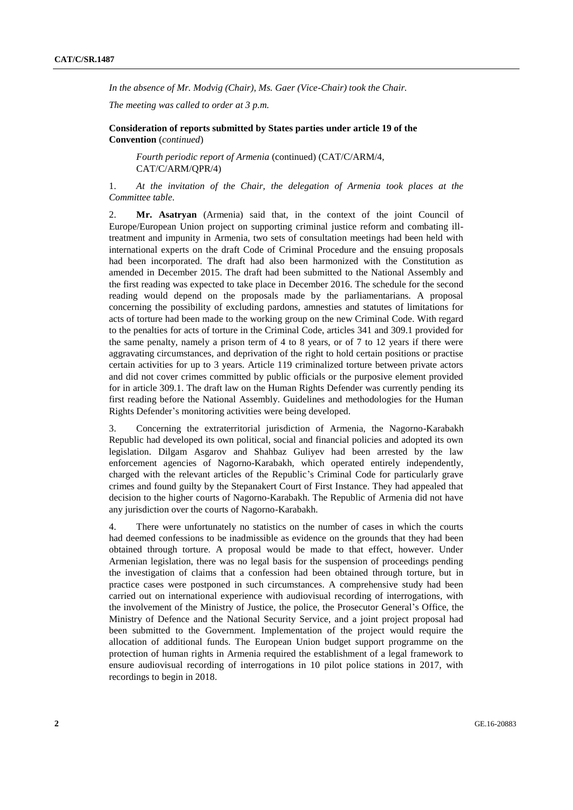*In the absence of Mr. Modvig (Chair), Ms. Gaer (Vice-Chair) took the Chair.*

*The meeting was called to order at 3 p.m.* 

**Consideration of reports submitted by States parties under article 19 of the Convention** (*continued*)

*Fourth periodic report of Armenia* (continued) (CAT/C/ARM/4, CAT/C/ARM/QPR/4)

1. *At the invitation of the Chair, the delegation of Armenia took places at the Committee table*.

2. **Mr. Asatryan** (Armenia) said that, in the context of the joint Council of Europe/European Union project on supporting criminal justice reform and combating illtreatment and impunity in Armenia, two sets of consultation meetings had been held with international experts on the draft Code of Criminal Procedure and the ensuing proposals had been incorporated. The draft had also been harmonized with the Constitution as amended in December 2015. The draft had been submitted to the National Assembly and the first reading was expected to take place in December 2016. The schedule for the second reading would depend on the proposals made by the parliamentarians. A proposal concerning the possibility of excluding pardons, amnesties and statutes of limitations for acts of torture had been made to the working group on the new Criminal Code. With regard to the penalties for acts of torture in the Criminal Code, articles 341 and 309.1 provided for the same penalty, namely a prison term of 4 to 8 years, or of 7 to 12 years if there were aggravating circumstances, and deprivation of the right to hold certain positions or practise certain activities for up to 3 years. Article 119 criminalized torture between private actors and did not cover crimes committed by public officials or the purposive element provided for in article 309.1. The draft law on the Human Rights Defender was currently pending its first reading before the National Assembly. Guidelines and methodologies for the Human Rights Defender's monitoring activities were being developed.

3. Concerning the extraterritorial jurisdiction of Armenia, the Nagorno-Karabakh Republic had developed its own political, social and financial policies and adopted its own legislation. Dilgam Asgarov and Shahbaz Guliyev had been arrested by the law enforcement agencies of Nagorno-Karabakh, which operated entirely independently, charged with the relevant articles of the Republic's Criminal Code for particularly grave crimes and found guilty by the Stepanakert Court of First Instance. They had appealed that decision to the higher courts of Nagorno-Karabakh. The Republic of Armenia did not have any jurisdiction over the courts of Nagorno-Karabakh.

4. There were unfortunately no statistics on the number of cases in which the courts had deemed confessions to be inadmissible as evidence on the grounds that they had been obtained through torture. A proposal would be made to that effect, however. Under Armenian legislation, there was no legal basis for the suspension of proceedings pending the investigation of claims that a confession had been obtained through torture, but in practice cases were postponed in such circumstances. A comprehensive study had been carried out on international experience with audiovisual recording of interrogations, with the involvement of the Ministry of Justice, the police, the Prosecutor General's Office, the Ministry of Defence and the National Security Service, and a joint project proposal had been submitted to the Government. Implementation of the project would require the allocation of additional funds. The European Union budget support programme on the protection of human rights in Armenia required the establishment of a legal framework to ensure audiovisual recording of interrogations in 10 pilot police stations in 2017, with recordings to begin in 2018.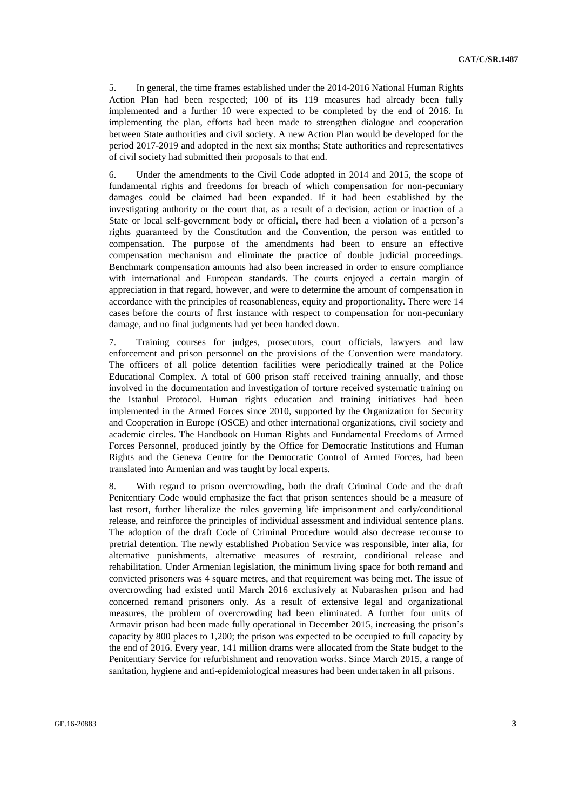5. In general, the time frames established under the 2014-2016 National Human Rights Action Plan had been respected; 100 of its 119 measures had already been fully implemented and a further 10 were expected to be completed by the end of 2016. In implementing the plan, efforts had been made to strengthen dialogue and cooperation between State authorities and civil society. A new Action Plan would be developed for the period 2017-2019 and adopted in the next six months; State authorities and representatives of civil society had submitted their proposals to that end.

6. Under the amendments to the Civil Code adopted in 2014 and 2015, the scope of fundamental rights and freedoms for breach of which compensation for non-pecuniary damages could be claimed had been expanded. If it had been established by the investigating authority or the court that, as a result of a decision, action or inaction of a State or local self-government body or official, there had been a violation of a person's rights guaranteed by the Constitution and the Convention, the person was entitled to compensation. The purpose of the amendments had been to ensure an effective compensation mechanism and eliminate the practice of double judicial proceedings. Benchmark compensation amounts had also been increased in order to ensure compliance with international and European standards. The courts enjoyed a certain margin of appreciation in that regard, however, and were to determine the amount of compensation in accordance with the principles of reasonableness, equity and proportionality. There were 14 cases before the courts of first instance with respect to compensation for non-pecuniary damage, and no final judgments had yet been handed down.

7. Training courses for judges, prosecutors, court officials, lawyers and law enforcement and prison personnel on the provisions of the Convention were mandatory. The officers of all police detention facilities were periodically trained at the Police Educational Complex. A total of 600 prison staff received training annually, and those involved in the documentation and investigation of torture received systematic training on the Istanbul Protocol. Human rights education and training initiatives had been implemented in the Armed Forces since 2010, supported by the Organization for Security and Cooperation in Europe (OSCE) and other international organizations, civil society and academic circles. The Handbook on Human Rights and Fundamental Freedoms of Armed Forces Personnel, produced jointly by the Office for Democratic Institutions and Human Rights and the Geneva Centre for the Democratic Control of Armed Forces, had been translated into Armenian and was taught by local experts.

8. With regard to prison overcrowding, both the draft Criminal Code and the draft Penitentiary Code would emphasize the fact that prison sentences should be a measure of last resort, further liberalize the rules governing life imprisonment and early/conditional release, and reinforce the principles of individual assessment and individual sentence plans. The adoption of the draft Code of Criminal Procedure would also decrease recourse to pretrial detention. The newly established Probation Service was responsible, inter alia, for alternative punishments, alternative measures of restraint, conditional release and rehabilitation. Under Armenian legislation, the minimum living space for both remand and convicted prisoners was 4 square metres, and that requirement was being met. The issue of overcrowding had existed until March 2016 exclusively at Nubarashen prison and had concerned remand prisoners only. As a result of extensive legal and organizational measures, the problem of overcrowding had been eliminated. A further four units of Armavir prison had been made fully operational in December 2015, increasing the prison's capacity by 800 places to 1,200; the prison was expected to be occupied to full capacity by the end of 2016. Every year, 141 million drams were allocated from the State budget to the Penitentiary Service for refurbishment and renovation works. Since March 2015, a range of sanitation, hygiene and anti-epidemiological measures had been undertaken in all prisons.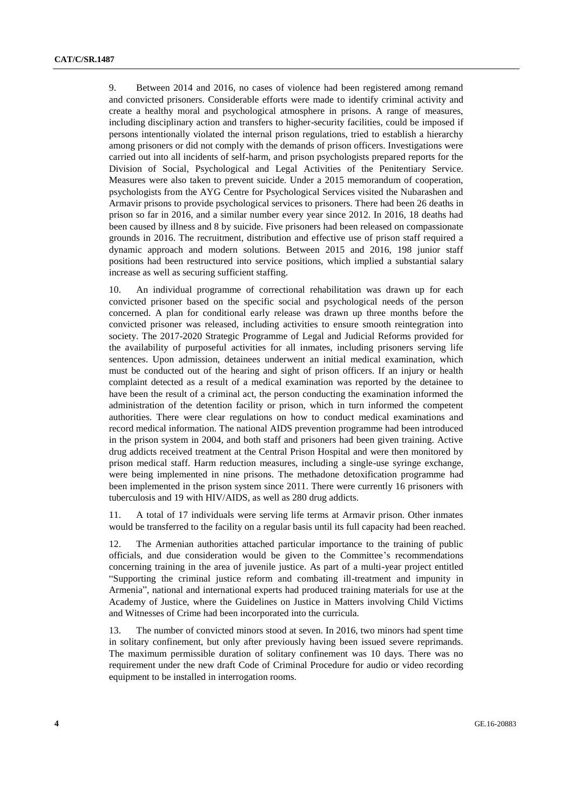9. Between 2014 and 2016, no cases of violence had been registered among remand and convicted prisoners. Considerable efforts were made to identify criminal activity and create a healthy moral and psychological atmosphere in prisons. A range of measures, including disciplinary action and transfers to higher-security facilities, could be imposed if persons intentionally violated the internal prison regulations, tried to establish a hierarchy among prisoners or did not comply with the demands of prison officers. Investigations were carried out into all incidents of self-harm, and prison psychologists prepared reports for the Division of Social, Psychological and Legal Activities of the Penitentiary Service. Measures were also taken to prevent suicide. Under a 2015 memorandum of cooperation, psychologists from the AYG Centre for Psychological Services visited the Nubarashen and Armavir prisons to provide psychological services to prisoners. There had been 26 deaths in prison so far in 2016, and a similar number every year since 2012. In 2016, 18 deaths had been caused by illness and 8 by suicide. Five prisoners had been released on compassionate grounds in 2016. The recruitment, distribution and effective use of prison staff required a dynamic approach and modern solutions. Between 2015 and 2016, 198 junior staff positions had been restructured into service positions, which implied a substantial salary increase as well as securing sufficient staffing.

10. An individual programme of correctional rehabilitation was drawn up for each convicted prisoner based on the specific social and psychological needs of the person concerned. A plan for conditional early release was drawn up three months before the convicted prisoner was released, including activities to ensure smooth reintegration into society. The 2017-2020 Strategic Programme of Legal and Judicial Reforms provided for the availability of purposeful activities for all inmates, including prisoners serving life sentences. Upon admission, detainees underwent an initial medical examination, which must be conducted out of the hearing and sight of prison officers. If an injury or health complaint detected as a result of a medical examination was reported by the detainee to have been the result of a criminal act, the person conducting the examination informed the administration of the detention facility or prison, which in turn informed the competent authorities. There were clear regulations on how to conduct medical examinations and record medical information. The national AIDS prevention programme had been introduced in the prison system in 2004, and both staff and prisoners had been given training. Active drug addicts received treatment at the Central Prison Hospital and were then monitored by prison medical staff. Harm reduction measures, including a single-use syringe exchange, were being implemented in nine prisons. The methadone detoxification programme had been implemented in the prison system since 2011. There were currently 16 prisoners with tuberculosis and 19 with HIV/AIDS, as well as 280 drug addicts.

11. A total of 17 individuals were serving life terms at Armavir prison. Other inmates would be transferred to the facility on a regular basis until its full capacity had been reached.

12. The Armenian authorities attached particular importance to the training of public officials, and due consideration would be given to the Committee's recommendations concerning training in the area of juvenile justice. As part of a multi-year project entitled "Supporting the criminal justice reform and combating ill-treatment and impunity in Armenia", national and international experts had produced training materials for use at the Academy of Justice, where the Guidelines on Justice in Matters involving Child Victims and Witnesses of Crime had been incorporated into the curricula.

13. The number of convicted minors stood at seven. In 2016, two minors had spent time in solitary confinement, but only after previously having been issued severe reprimands. The maximum permissible duration of solitary confinement was 10 days. There was no requirement under the new draft Code of Criminal Procedure for audio or video recording equipment to be installed in interrogation rooms.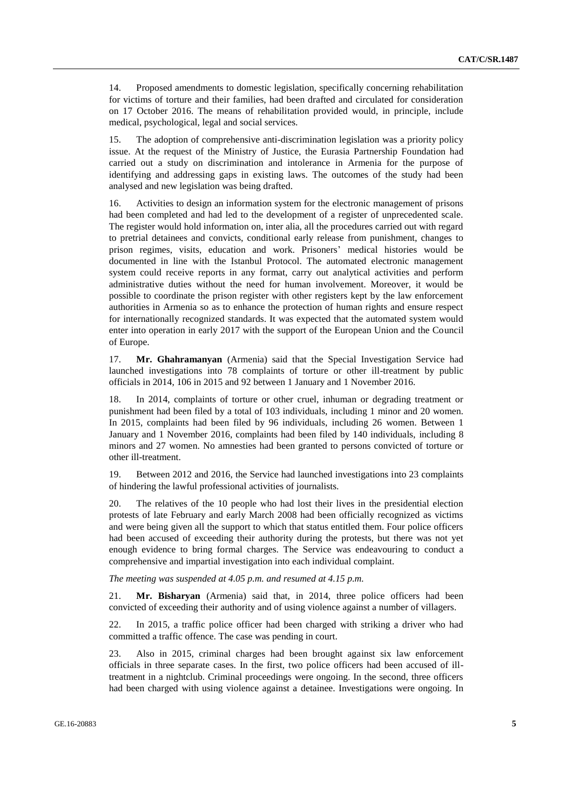14. Proposed amendments to domestic legislation, specifically concerning rehabilitation for victims of torture and their families, had been drafted and circulated for consideration on 17 October 2016. The means of rehabilitation provided would, in principle, include medical, psychological, legal and social services.

15. The adoption of comprehensive anti-discrimination legislation was a priority policy issue. At the request of the Ministry of Justice, the Eurasia Partnership Foundation had carried out a study on discrimination and intolerance in Armenia for the purpose of identifying and addressing gaps in existing laws. The outcomes of the study had been analysed and new legislation was being drafted.

16. Activities to design an information system for the electronic management of prisons had been completed and had led to the development of a register of unprecedented scale. The register would hold information on, inter alia, all the procedures carried out with regard to pretrial detainees and convicts, conditional early release from punishment, changes to prison regimes, visits, education and work. Prisoners' medical histories would be documented in line with the Istanbul Protocol. The automated electronic management system could receive reports in any format, carry out analytical activities and perform administrative duties without the need for human involvement. Moreover, it would be possible to coordinate the prison register with other registers kept by the law enforcement authorities in Armenia so as to enhance the protection of human rights and ensure respect for internationally recognized standards. It was expected that the automated system would enter into operation in early 2017 with the support of the European Union and the Council of Europe.

17. **Mr. Ghahramanyan** (Armenia) said that the Special Investigation Service had launched investigations into 78 complaints of torture or other ill-treatment by public officials in 2014, 106 in 2015 and 92 between 1 January and 1 November 2016.

18. In 2014, complaints of torture or other cruel, inhuman or degrading treatment or punishment had been filed by a total of 103 individuals, including 1 minor and 20 women. In 2015, complaints had been filed by 96 individuals, including 26 women. Between 1 January and 1 November 2016, complaints had been filed by 140 individuals, including 8 minors and 27 women. No amnesties had been granted to persons convicted of torture or other ill-treatment.

19. Between 2012 and 2016, the Service had launched investigations into 23 complaints of hindering the lawful professional activities of journalists.

20. The relatives of the 10 people who had lost their lives in the presidential election protests of late February and early March 2008 had been officially recognized as victims and were being given all the support to which that status entitled them. Four police officers had been accused of exceeding their authority during the protests, but there was not yet enough evidence to bring formal charges. The Service was endeavouring to conduct a comprehensive and impartial investigation into each individual complaint.

*The meeting was suspended at 4.05 p.m. and resumed at 4.15 p.m.*

21. **Mr. Bisharyan** (Armenia) said that, in 2014, three police officers had been convicted of exceeding their authority and of using violence against a number of villagers.

22. In 2015, a traffic police officer had been charged with striking a driver who had committed a traffic offence. The case was pending in court.

23. Also in 2015, criminal charges had been brought against six law enforcement officials in three separate cases. In the first, two police officers had been accused of illtreatment in a nightclub. Criminal proceedings were ongoing. In the second, three officers had been charged with using violence against a detainee. Investigations were ongoing. In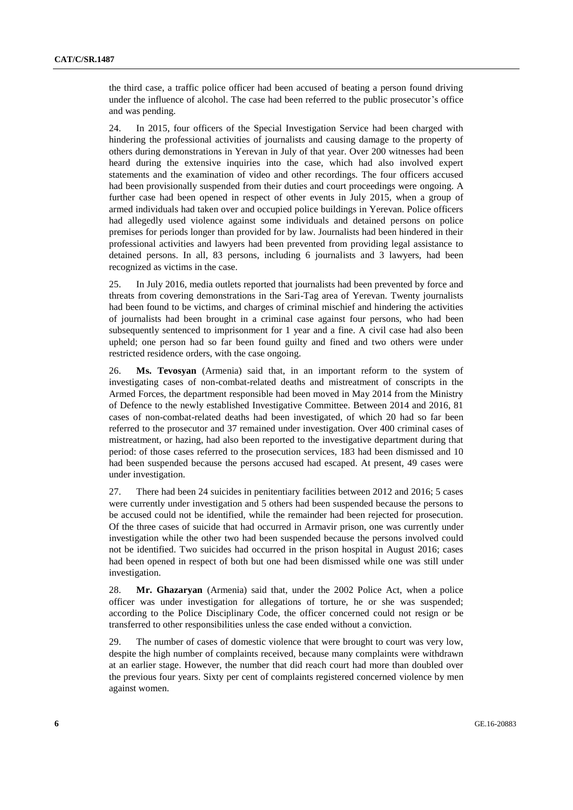the third case, a traffic police officer had been accused of beating a person found driving under the influence of alcohol. The case had been referred to the public prosecutor's office and was pending.

24. In 2015, four officers of the Special Investigation Service had been charged with hindering the professional activities of journalists and causing damage to the property of others during demonstrations in Yerevan in July of that year. Over 200 witnesses had been heard during the extensive inquiries into the case, which had also involved expert statements and the examination of video and other recordings. The four officers accused had been provisionally suspended from their duties and court proceedings were ongoing. A further case had been opened in respect of other events in July 2015, when a group of armed individuals had taken over and occupied police buildings in Yerevan. Police officers had allegedly used violence against some individuals and detained persons on police premises for periods longer than provided for by law. Journalists had been hindered in their professional activities and lawyers had been prevented from providing legal assistance to detained persons. In all, 83 persons, including 6 journalists and 3 lawyers, had been recognized as victims in the case.

25. In July 2016, media outlets reported that journalists had been prevented by force and threats from covering demonstrations in the Sari-Tag area of Yerevan. Twenty journalists had been found to be victims, and charges of criminal mischief and hindering the activities of journalists had been brought in a criminal case against four persons, who had been subsequently sentenced to imprisonment for 1 year and a fine. A civil case had also been upheld; one person had so far been found guilty and fined and two others were under restricted residence orders, with the case ongoing.

26. **Ms. Tevosyan** (Armenia) said that, in an important reform to the system of investigating cases of non-combat-related deaths and mistreatment of conscripts in the Armed Forces, the department responsible had been moved in May 2014 from the Ministry of Defence to the newly established Investigative Committee. Between 2014 and 2016, 81 cases of non-combat-related deaths had been investigated, of which 20 had so far been referred to the prosecutor and 37 remained under investigation. Over 400 criminal cases of mistreatment, or hazing, had also been reported to the investigative department during that period: of those cases referred to the prosecution services, 183 had been dismissed and 10 had been suspended because the persons accused had escaped. At present, 49 cases were under investigation.

27. There had been 24 suicides in penitentiary facilities between 2012 and 2016; 5 cases were currently under investigation and 5 others had been suspended because the persons to be accused could not be identified, while the remainder had been rejected for prosecution. Of the three cases of suicide that had occurred in Armavir prison, one was currently under investigation while the other two had been suspended because the persons involved could not be identified. Two suicides had occurred in the prison hospital in August 2016; cases had been opened in respect of both but one had been dismissed while one was still under investigation.

28. **Mr. Ghazaryan** (Armenia) said that, under the 2002 Police Act, when a police officer was under investigation for allegations of torture, he or she was suspended; according to the Police Disciplinary Code, the officer concerned could not resign or be transferred to other responsibilities unless the case ended without a conviction.

29. The number of cases of domestic violence that were brought to court was very low, despite the high number of complaints received, because many complaints were withdrawn at an earlier stage. However, the number that did reach court had more than doubled over the previous four years. Sixty per cent of complaints registered concerned violence by men against women.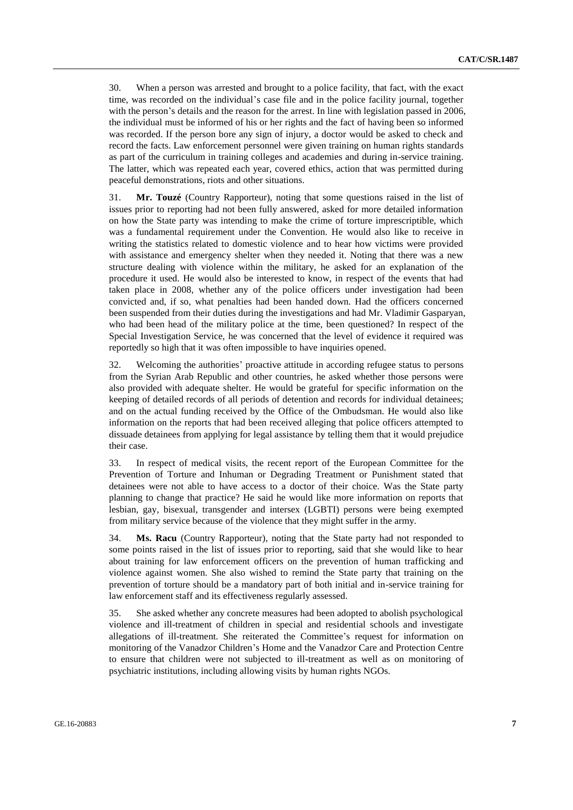30. When a person was arrested and brought to a police facility, that fact, with the exact time, was recorded on the individual's case file and in the police facility journal, together with the person's details and the reason for the arrest. In line with legislation passed in 2006, the individual must be informed of his or her rights and the fact of having been so informed was recorded. If the person bore any sign of injury, a doctor would be asked to check and record the facts. Law enforcement personnel were given training on human rights standards as part of the curriculum in training colleges and academies and during in-service training. The latter, which was repeated each year, covered ethics, action that was permitted during peaceful demonstrations, riots and other situations.

31. **Mr. Touzé** (Country Rapporteur), noting that some questions raised in the list of issues prior to reporting had not been fully answered, asked for more detailed information on how the State party was intending to make the crime of torture imprescriptible, which was a fundamental requirement under the Convention. He would also like to receive in writing the statistics related to domestic violence and to hear how victims were provided with assistance and emergency shelter when they needed it. Noting that there was a new structure dealing with violence within the military, he asked for an explanation of the procedure it used. He would also be interested to know, in respect of the events that had taken place in 2008, whether any of the police officers under investigation had been convicted and, if so, what penalties had been handed down. Had the officers concerned been suspended from their duties during the investigations and had Mr. Vladimir Gasparyan, who had been head of the military police at the time, been questioned? In respect of the Special Investigation Service, he was concerned that the level of evidence it required was reportedly so high that it was often impossible to have inquiries opened.

32. Welcoming the authorities' proactive attitude in according refugee status to persons from the Syrian Arab Republic and other countries, he asked whether those persons were also provided with adequate shelter. He would be grateful for specific information on the keeping of detailed records of all periods of detention and records for individual detainees; and on the actual funding received by the Office of the Ombudsman. He would also like information on the reports that had been received alleging that police officers attempted to dissuade detainees from applying for legal assistance by telling them that it would prejudice their case.

33. In respect of medical visits, the recent report of the European Committee for the Prevention of Torture and Inhuman or Degrading Treatment or Punishment stated that detainees were not able to have access to a doctor of their choice. Was the State party planning to change that practice? He said he would like more information on reports that lesbian, gay, bisexual, transgender and intersex (LGBTI) persons were being exempted from military service because of the violence that they might suffer in the army.

34. **Ms. Racu** (Country Rapporteur), noting that the State party had not responded to some points raised in the list of issues prior to reporting, said that she would like to hear about training for law enforcement officers on the prevention of human trafficking and violence against women. She also wished to remind the State party that training on the prevention of torture should be a mandatory part of both initial and in-service training for law enforcement staff and its effectiveness regularly assessed.

35. She asked whether any concrete measures had been adopted to abolish psychological violence and ill-treatment of children in special and residential schools and investigate allegations of ill-treatment. She reiterated the Committee's request for information on monitoring of the Vanadzor Children's Home and the Vanadzor Care and Protection Centre to ensure that children were not subjected to ill-treatment as well as on monitoring of psychiatric institutions, including allowing visits by human rights NGOs.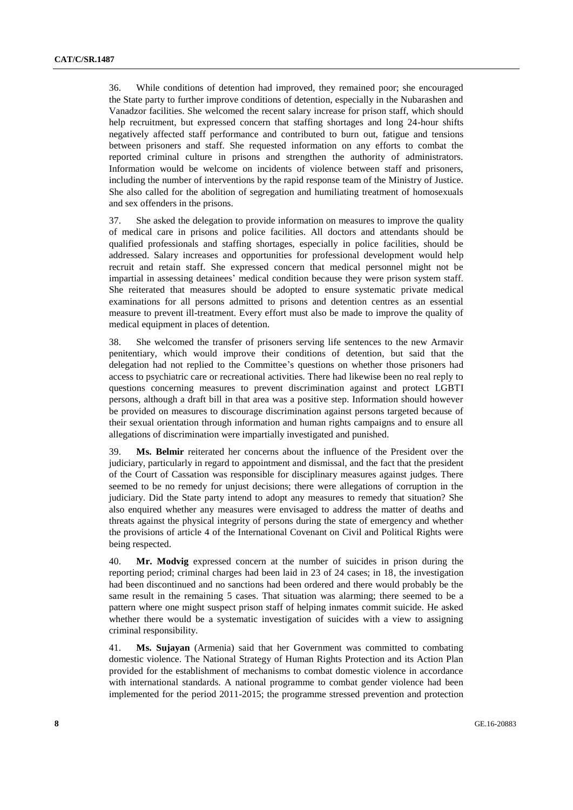36. While conditions of detention had improved, they remained poor; she encouraged the State party to further improve conditions of detention, especially in the Nubarashen and Vanadzor facilities. She welcomed the recent salary increase for prison staff, which should help recruitment, but expressed concern that staffing shortages and long 24-hour shifts negatively affected staff performance and contributed to burn out, fatigue and tensions between prisoners and staff. She requested information on any efforts to combat the reported criminal culture in prisons and strengthen the authority of administrators. Information would be welcome on incidents of violence between staff and prisoners, including the number of interventions by the rapid response team of the Ministry of Justice. She also called for the abolition of segregation and humiliating treatment of homosexuals and sex offenders in the prisons.

37. She asked the delegation to provide information on measures to improve the quality of medical care in prisons and police facilities. All doctors and attendants should be qualified professionals and staffing shortages, especially in police facilities, should be addressed. Salary increases and opportunities for professional development would help recruit and retain staff. She expressed concern that medical personnel might not be impartial in assessing detainees' medical condition because they were prison system staff. She reiterated that measures should be adopted to ensure systematic private medical examinations for all persons admitted to prisons and detention centres as an essential measure to prevent ill-treatment. Every effort must also be made to improve the quality of medical equipment in places of detention.

38. She welcomed the transfer of prisoners serving life sentences to the new Armavir penitentiary, which would improve their conditions of detention, but said that the delegation had not replied to the Committee's questions on whether those prisoners had access to psychiatric care or recreational activities. There had likewise been no real reply to questions concerning measures to prevent discrimination against and protect LGBTI persons, although a draft bill in that area was a positive step. Information should however be provided on measures to discourage discrimination against persons targeted because of their sexual orientation through information and human rights campaigns and to ensure all allegations of discrimination were impartially investigated and punished.

39. **Ms. Belmir** reiterated her concerns about the influence of the President over the judiciary, particularly in regard to appointment and dismissal, and the fact that the president of the Court of Cassation was responsible for disciplinary measures against judges. There seemed to be no remedy for unjust decisions; there were allegations of corruption in the judiciary. Did the State party intend to adopt any measures to remedy that situation? She also enquired whether any measures were envisaged to address the matter of deaths and threats against the physical integrity of persons during the state of emergency and whether the provisions of article 4 of the International Covenant on Civil and Political Rights were being respected.

40. **Mr. Modvig** expressed concern at the number of suicides in prison during the reporting period; criminal charges had been laid in 23 of 24 cases; in 18, the investigation had been discontinued and no sanctions had been ordered and there would probably be the same result in the remaining 5 cases. That situation was alarming; there seemed to be a pattern where one might suspect prison staff of helping inmates commit suicide. He asked whether there would be a systematic investigation of suicides with a view to assigning criminal responsibility.

41. **Ms. Sujayan** (Armenia) said that her Government was committed to combating domestic violence. The National Strategy of Human Rights Protection and its Action Plan provided for the establishment of mechanisms to combat domestic violence in accordance with international standards. A national programme to combat gender violence had been implemented for the period 2011-2015; the programme stressed prevention and protection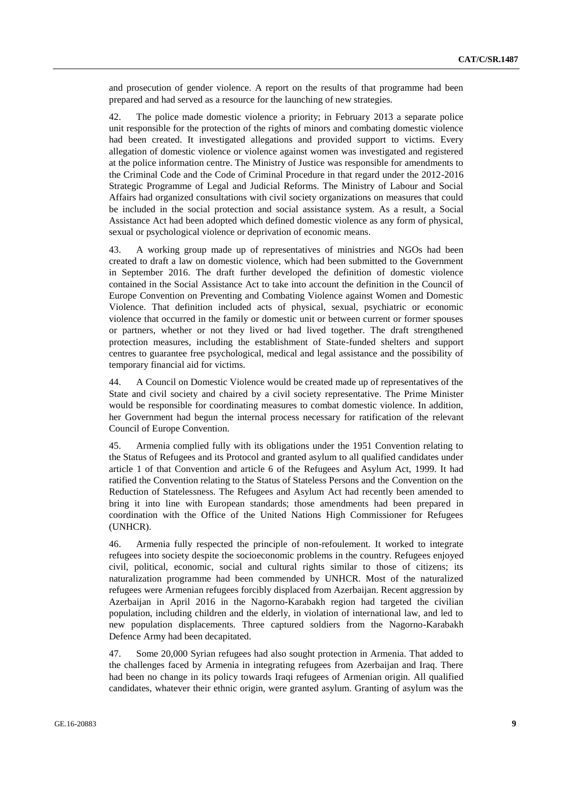and prosecution of gender violence. A report on the results of that programme had been prepared and had served as a resource for the launching of new strategies.

42. The police made domestic violence a priority; in February 2013 a separate police unit responsible for the protection of the rights of minors and combating domestic violence had been created. It investigated allegations and provided support to victims. Every allegation of domestic violence or violence against women was investigated and registered at the police information centre. The Ministry of Justice was responsible for amendments to the Criminal Code and the Code of Criminal Procedure in that regard under the 2012-2016 Strategic Programme of Legal and Judicial Reforms. The Ministry of Labour and Social Affairs had organized consultations with civil society organizations on measures that could be included in the social protection and social assistance system. As a result, a Social Assistance Act had been adopted which defined domestic violence as any form of physical, sexual or psychological violence or deprivation of economic means.

43. A working group made up of representatives of ministries and NGOs had been created to draft a law on domestic violence, which had been submitted to the Government in September 2016. The draft further developed the definition of domestic violence contained in the Social Assistance Act to take into account the definition in the Council of Europe Convention on Preventing and Combating Violence against Women and Domestic Violence. That definition included acts of physical, sexual, psychiatric or economic violence that occurred in the family or domestic unit or between current or former spouses or partners, whether or not they lived or had lived together. The draft strengthened protection measures, including the establishment of State-funded shelters and support centres to guarantee free psychological, medical and legal assistance and the possibility of temporary financial aid for victims.

44. A Council on Domestic Violence would be created made up of representatives of the State and civil society and chaired by a civil society representative. The Prime Minister would be responsible for coordinating measures to combat domestic violence. In addition, her Government had begun the internal process necessary for ratification of the relevant Council of Europe Convention.

45. Armenia complied fully with its obligations under the 1951 Convention relating to the Status of Refugees and its Protocol and granted asylum to all qualified candidates under article 1 of that Convention and article 6 of the Refugees and Asylum Act, 1999. It had ratified the Convention relating to the Status of Stateless Persons and the Convention on the Reduction of Statelessness. The Refugees and Asylum Act had recently been amended to bring it into line with European standards; those amendments had been prepared in coordination with the Office of the United Nations High Commissioner for Refugees (UNHCR).

46. Armenia fully respected the principle of non-refoulement. It worked to integrate refugees into society despite the socioeconomic problems in the country. Refugees enjoyed civil, political, economic, social and cultural rights similar to those of citizens; its naturalization programme had been commended by UNHCR. Most of the naturalized refugees were Armenian refugees forcibly displaced from Azerbaijan. Recent aggression by Azerbaijan in April 2016 in the Nagorno-Karabakh region had targeted the civilian population, including children and the elderly, in violation of international law, and led to new population displacements. Three captured soldiers from the Nagorno-Karabakh Defence Army had been decapitated.

47. Some 20,000 Syrian refugees had also sought protection in Armenia. That added to the challenges faced by Armenia in integrating refugees from Azerbaijan and Iraq. There had been no change in its policy towards Iraqi refugees of Armenian origin. All qualified candidates, whatever their ethnic origin, were granted asylum. Granting of asylum was the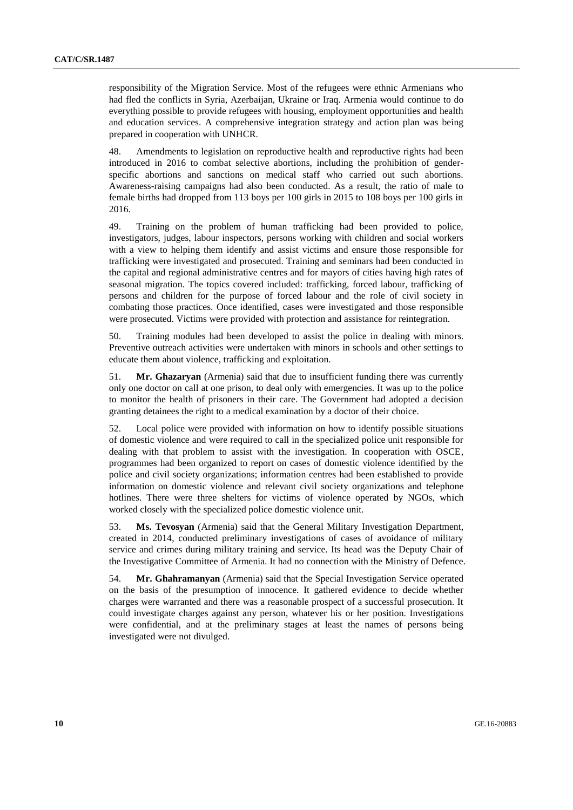responsibility of the Migration Service. Most of the refugees were ethnic Armenians who had fled the conflicts in Syria, Azerbaijan, Ukraine or Iraq. Armenia would continue to do everything possible to provide refugees with housing, employment opportunities and health and education services. A comprehensive integration strategy and action plan was being prepared in cooperation with UNHCR.

48. Amendments to legislation on reproductive health and reproductive rights had been introduced in 2016 to combat selective abortions, including the prohibition of genderspecific abortions and sanctions on medical staff who carried out such abortions. Awareness-raising campaigns had also been conducted. As a result, the ratio of male to female births had dropped from 113 boys per 100 girls in 2015 to 108 boys per 100 girls in 2016.

49. Training on the problem of human trafficking had been provided to police, investigators, judges, labour inspectors, persons working with children and social workers with a view to helping them identify and assist victims and ensure those responsible for trafficking were investigated and prosecuted. Training and seminars had been conducted in the capital and regional administrative centres and for mayors of cities having high rates of seasonal migration. The topics covered included: trafficking, forced labour, trafficking of persons and children for the purpose of forced labour and the role of civil society in combating those practices. Once identified, cases were investigated and those responsible were prosecuted. Victims were provided with protection and assistance for reintegration.

50. Training modules had been developed to assist the police in dealing with minors. Preventive outreach activities were undertaken with minors in schools and other settings to educate them about violence, trafficking and exploitation.

51. **Mr. Ghazaryan** (Armenia) said that due to insufficient funding there was currently only one doctor on call at one prison, to deal only with emergencies. It was up to the police to monitor the health of prisoners in their care. The Government had adopted a decision granting detainees the right to a medical examination by a doctor of their choice.

52. Local police were provided with information on how to identify possible situations of domestic violence and were required to call in the specialized police unit responsible for dealing with that problem to assist with the investigation. In cooperation with OSCE, programmes had been organized to report on cases of domestic violence identified by the police and civil society organizations; information centres had been established to provide information on domestic violence and relevant civil society organizations and telephone hotlines. There were three shelters for victims of violence operated by NGOs, which worked closely with the specialized police domestic violence unit.

53. **Ms. Tevosyan** (Armenia) said that the General Military Investigation Department, created in 2014, conducted preliminary investigations of cases of avoidance of military service and crimes during military training and service. Its head was the Deputy Chair of the Investigative Committee of Armenia. It had no connection with the Ministry of Defence.

54. **Mr. Ghahramanyan** (Armenia) said that the Special Investigation Service operated on the basis of the presumption of innocence. It gathered evidence to decide whether charges were warranted and there was a reasonable prospect of a successful prosecution. It could investigate charges against any person, whatever his or her position. Investigations were confidential, and at the preliminary stages at least the names of persons being investigated were not divulged.